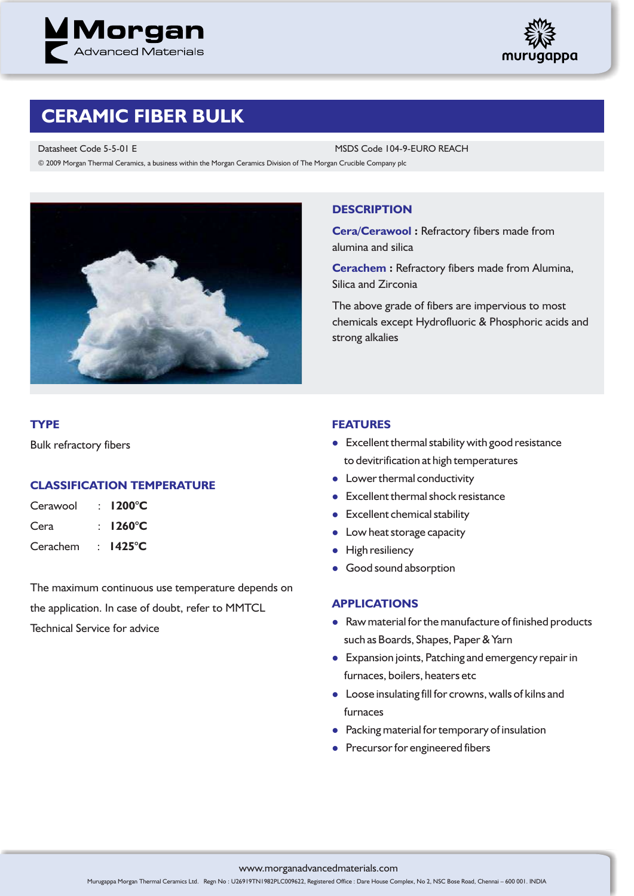



# **CERAMIC FIBER BULK**

Datasheet Code 5-5-01 E MSDS Code 104-9-EURO REACH © 2009 Morgan Thermal Ceramics, a business within the Morgan Ceramics Division of The Morgan Crucible Company plc



## **DESCRIPTION**

**Cera/Cerawool :** Refractory fibers made from alumina and silica

**Cerachem :** Refractory fibers made from Alumina, Silica and Zirconia

The above grade of fibers are impervious to most chemicals except Hydrofluoric & Phosphoric acids and strong alkalies

## **TYPE**

Bulk refractory fibers

## **CLASSIFICATION TEMPERATURE**

| Cerawool | $\pm$ 1200°C       |
|----------|--------------------|
| Cera     | : $1260^{\circ}$ C |
| Cerachem | : $1425^{\circ}$ C |

The maximum continuous use temperature depends on the application. In case of doubt, refer to MMTCL Technical Service for advice

#### **FEATURES**

- **•** Excellent thermal stability with good resistance to devitrification at high temperatures
- Lower thermal conductivity
- **•** Excellent thermal shock resistance
- Excellent chemical stability
- Low heat storage capacity
- High resiliency
- **•** Good sound absorption

#### **APPLICATIONS**

- Raw material for the manufacture of finished products such as Boards, Shapes, Paper & Yarn
- **•** Expansion joints, Patching and emergency repair in furnaces, boilers, heaters etc
- l Loose insulating fill for crowns, walls of kilns and furnaces
- **•** Packing material for temporary of insulation
- **•** Precursor for engineered fibers

www.morganadvancedmaterials.com